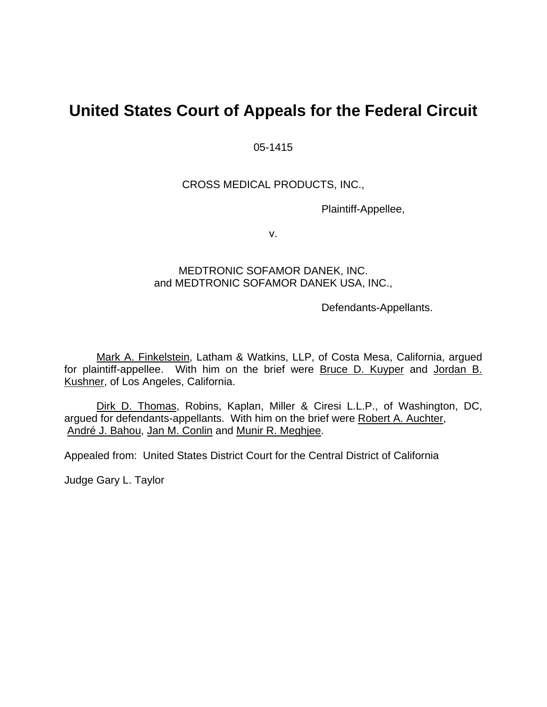# **United States Court of Appeals for the Federal Circuit**

05-1415

## CROSS MEDICAL PRODUCTS, INC.,

Plaintiff-Appellee,

v.

## MEDTRONIC SOFAMOR DANEK, INC. and MEDTRONIC SOFAMOR DANEK USA, INC.,

Defendants-Appellants.

Mark A. Finkelstein, Latham & Watkins, LLP, of Costa Mesa, California, argued for plaintiff-appellee. With him on the brief were Bruce D. Kuyper and Jordan B. Kushner, of Los Angeles, California.

Dirk D. Thomas, Robins, Kaplan, Miller & Ciresi L.L.P., of Washington, DC, argued for defendants-appellants. With him on the brief were Robert A. Auchter, André J. Bahou, Jan M. Conlin and Munir R. Meghjee.

Appealed from: United States District Court for the Central District of California

Judge Gary L. Taylor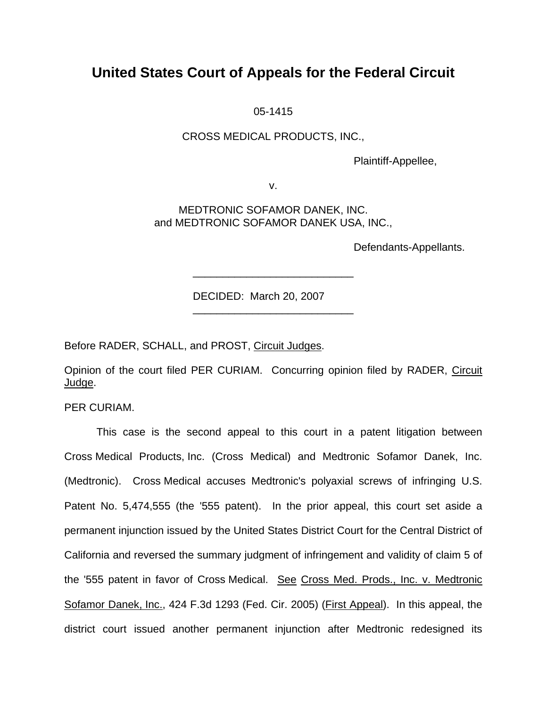# **United States Court of Appeals for the Federal Circuit**

05-1415

## CROSS MEDICAL PRODUCTS, INC.,

Plaintiff-Appellee,

v.

MEDTRONIC SOFAMOR DANEK, INC. and MEDTRONIC SOFAMOR DANEK USA, INC.,

\_\_\_\_\_\_\_\_\_\_\_\_\_\_\_\_\_\_\_\_\_\_\_\_\_\_\_

\_\_\_\_\_\_\_\_\_\_\_\_\_\_\_\_\_\_\_\_\_\_\_\_\_\_\_

Defendants-Appellants.

DECIDED: March 20, 2007

Before RADER, SCHALL, and PROST, Circuit Judges.

Opinion of the court filed PER CURIAM. Concurring opinion filed by RADER, Circuit Judge.

PER CURIAM.

This case is the second appeal to this court in a patent litigation between Cross Medical Products, Inc. (Cross Medical) and Medtronic Sofamor Danek, Inc. (Medtronic). Cross Medical accuses Medtronic's polyaxial screws of infringing U.S. Patent No. 5,474,555 (the '555 patent). In the prior appeal, this court set aside a permanent injunction issued by the United States District Court for the Central District of California and reversed the summary judgment of infringement and validity of claim 5 of the '555 patent in favor of Cross Medical. See Cross Med. Prods., Inc. v. Medtronic Sofamor Danek, Inc., 424 F.3d 1293 (Fed. Cir. 2005) (First Appeal). In this appeal, the district court issued another permanent injunction after Medtronic redesigned its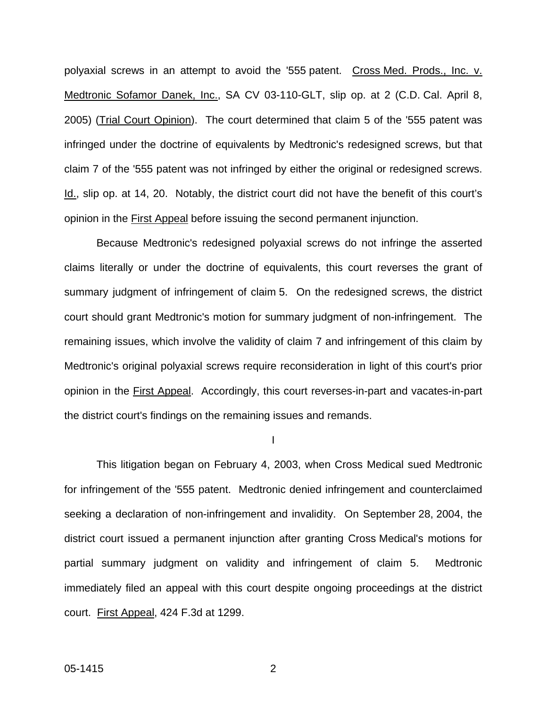polyaxial screws in an attempt to avoid the '555 patent. Cross Med. Prods., Inc. v. Medtronic Sofamor Danek, Inc., SA CV 03-110-GLT, slip op. at 2 (C.D. Cal. April 8, 2005) (Trial Court Opinion). The court determined that claim 5 of the '555 patent was infringed under the doctrine of equivalents by Medtronic's redesigned screws, but that claim 7 of the '555 patent was not infringed by either the original or redesigned screws. Id., slip op. at 14, 20. Notably, the district court did not have the benefit of this court's opinion in the First Appeal before issuing the second permanent injunction.

Because Medtronic's redesigned polyaxial screws do not infringe the asserted claims literally or under the doctrine of equivalents, this court reverses the grant of summary judgment of infringement of claim 5. On the redesigned screws, the district court should grant Medtronic's motion for summary judgment of non-infringement. The remaining issues, which involve the validity of claim 7 and infringement of this claim by Medtronic's original polyaxial screws require reconsideration in light of this court's prior opinion in the First Appeal. Accordingly, this court reverses-in-part and vacates-in-part the district court's findings on the remaining issues and remands.

I

This litigation began on February 4, 2003, when Cross Medical sued Medtronic for infringement of the '555 patent. Medtronic denied infringement and counterclaimed seeking a declaration of non-infringement and invalidity. On September 28, 2004, the district court issued a permanent injunction after granting Cross Medical's motions for partial summary judgment on validity and infringement of claim 5. Medtronic immediately filed an appeal with this court despite ongoing proceedings at the district court. First Appeal, 424 F.3d at 1299.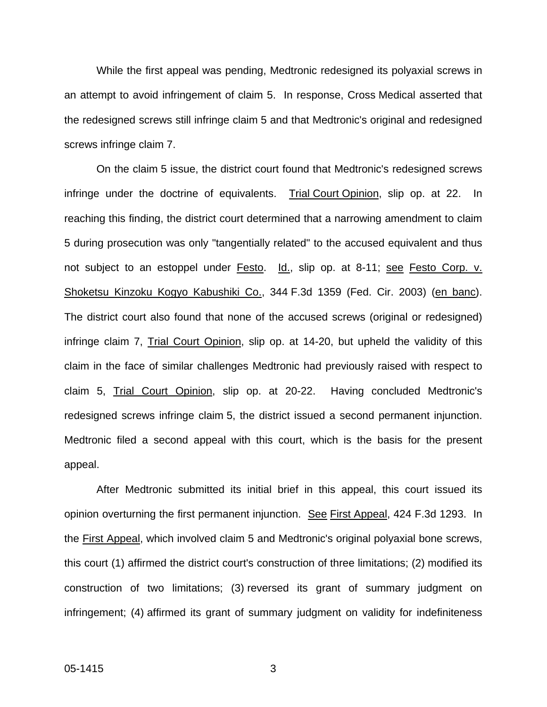While the first appeal was pending, Medtronic redesigned its polyaxial screws in an attempt to avoid infringement of claim 5. In response, Cross Medical asserted that the redesigned screws still infringe claim 5 and that Medtronic's original and redesigned screws infringe claim 7.

On the claim 5 issue, the district court found that Medtronic's redesigned screws infringe under the doctrine of equivalents. Trial Court Opinion, slip op. at 22. In reaching this finding, the district court determined that a narrowing amendment to claim 5 during prosecution was only "tangentially related" to the accused equivalent and thus not subject to an estoppel under Festo. Id., slip op. at 8-11; see Festo Corp. v. Shoketsu Kinzoku Kogyo Kabushiki Co., 344 F.3d 1359 (Fed. Cir. 2003) (en banc). The district court also found that none of the accused screws (original or redesigned) infringe claim 7, Trial Court Opinion, slip op. at 14-20, but upheld the validity of this claim in the face of similar challenges Medtronic had previously raised with respect to claim 5, Trial Court Opinion, slip op. at 20-22. Having concluded Medtronic's redesigned screws infringe claim 5, the district issued a second permanent injunction. Medtronic filed a second appeal with this court, which is the basis for the present appeal.

After Medtronic submitted its initial brief in this appeal, this court issued its opinion overturning the first permanent injunction. See First Appeal, 424 F.3d 1293. In the First Appeal, which involved claim 5 and Medtronic's original polyaxial bone screws, this court (1) affirmed the district court's construction of three limitations; (2) modified its construction of two limitations; (3) reversed its grant of summary judgment on infringement; (4) affirmed its grant of summary judgment on validity for indefiniteness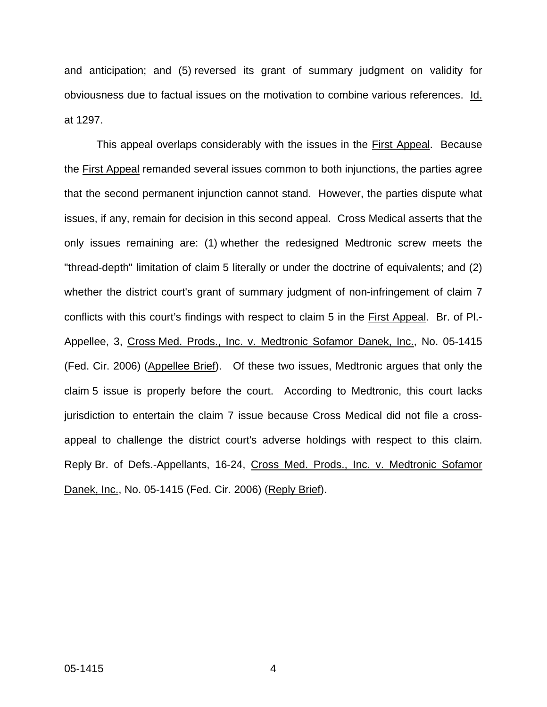and anticipation; and (5) reversed its grant of summary judgment on validity for obviousness due to factual issues on the motivation to combine various references. Id. at 1297.

This appeal overlaps considerably with the issues in the First Appeal. Because the First Appeal remanded several issues common to both injunctions, the parties agree that the second permanent injunction cannot stand. However, the parties dispute what issues, if any, remain for decision in this second appeal. Cross Medical asserts that the only issues remaining are: (1) whether the redesigned Medtronic screw meets the "thread-depth" limitation of claim 5 literally or under the doctrine of equivalents; and (2) whether the district court's grant of summary judgment of non-infringement of claim 7 conflicts with this court's findings with respect to claim 5 in the First Appeal. Br. of Pl.- Appellee, 3, Cross Med. Prods., Inc. v. Medtronic Sofamor Danek, Inc., No. 05-1415 (Fed. Cir. 2006) (Appellee Brief). Of these two issues, Medtronic argues that only the claim 5 issue is properly before the court. According to Medtronic, this court lacks jurisdiction to entertain the claim 7 issue because Cross Medical did not file a crossappeal to challenge the district court's adverse holdings with respect to this claim. Reply Br. of Defs.-Appellants, 16-24, Cross Med. Prods., Inc. v. Medtronic Sofamor Danek, Inc., No. 05-1415 (Fed. Cir. 2006) (Reply Brief).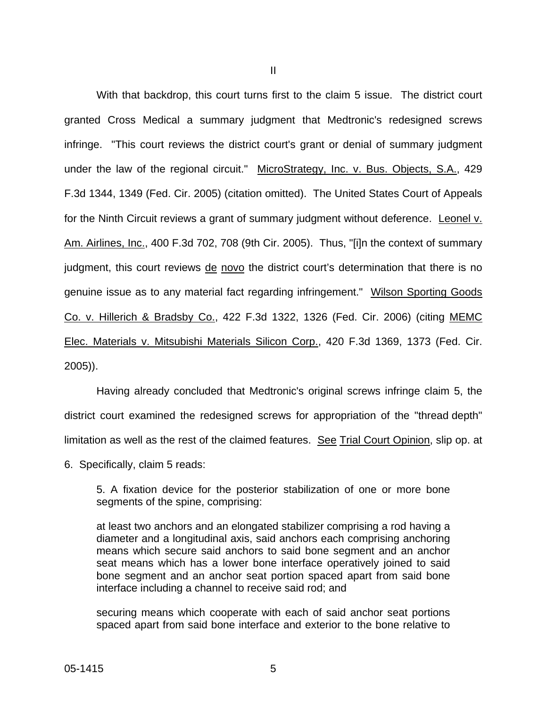With that backdrop, this court turns first to the claim 5 issue. The district court granted Cross Medical a summary judgment that Medtronic's redesigned screws infringe. "This court reviews the district court's grant or denial of summary judgment under the law of the regional circuit." MicroStrategy, Inc. v. Bus. Objects, S.A., 429 F.3d 1344, 1349 (Fed. Cir. 2005) (citation omitted). The United States Court of Appeals for the Ninth Circuit reviews a grant of summary judgment without deference. Leonel v. Am. Airlines, Inc., 400 F.3d 702, 708 (9th Cir. 2005). Thus, "[i]n the context of summary judgment, this court reviews de novo the district court's determination that there is no genuine issue as to any material fact regarding infringement." Wilson Sporting Goods Co. v. Hillerich & Bradsby Co., 422 F.3d 1322, 1326 (Fed. Cir. 2006) (citing MEMC Elec. Materials v. Mitsubishi Materials Silicon Corp., 420 F.3d 1369, 1373 (Fed. Cir. 2005)).

Having already concluded that Medtronic's original screws infringe claim 5, the district court examined the redesigned screws for appropriation of the "thread depth" limitation as well as the rest of the claimed features. See Trial Court Opinion, slip op. at

6. Specifically, claim 5 reads:

5. A fixation device for the posterior stabilization of one or more bone segments of the spine, comprising:

at least two anchors and an elongated stabilizer comprising a rod having a diameter and a longitudinal axis, said anchors each comprising anchoring means which secure said anchors to said bone segment and an anchor seat means which has a lower bone interface operatively joined to said bone segment and an anchor seat portion spaced apart from said bone interface including a channel to receive said rod; and

securing means which cooperate with each of said anchor seat portions spaced apart from said bone interface and exterior to the bone relative to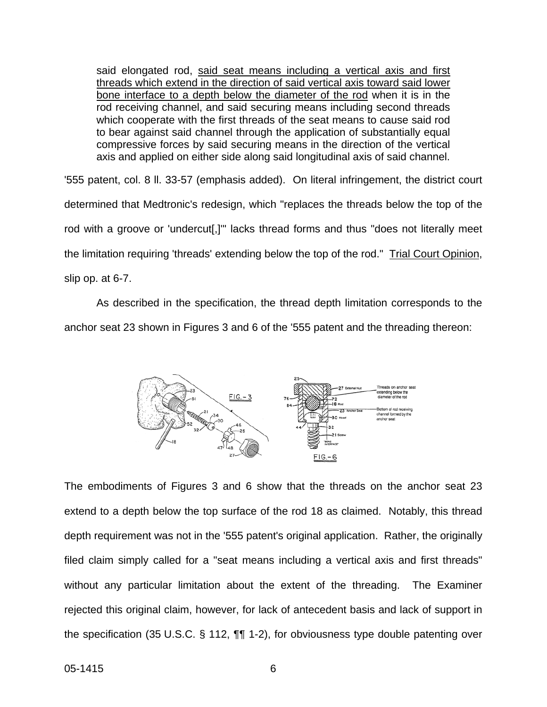said elongated rod, said seat means including a vertical axis and first threads which extend in the direction of said vertical axis toward said lower bone interface to a depth below the diameter of the rod when it is in the rod receiving channel, and said securing means including second threads which cooperate with the first threads of the seat means to cause said rod to bear against said channel through the application of substantially equal compressive forces by said securing means in the direction of the vertical axis and applied on either side along said longitudinal axis of said channel.

'555 patent, col. 8 ll. 33-57 (emphasis added). On literal infringement, the district court determined that Medtronic's redesign, which "replaces the threads below the top of the rod with a groove or 'undercut[,]'" lacks thread forms and thus "does not literally meet the limitation requiring 'threads' extending below the top of the rod." Trial Court Opinion, slip op. at 6-7.

As described in the specification, the thread depth limitation corresponds to the anchor seat 23 shown in Figures 3 and 6 of the '555 patent and the threading thereon:



The embodiments of Figures 3 and 6 show that the threads on the anchor seat 23 extend to a depth below the top surface of the rod 18 as claimed. Notably, this thread depth requirement was not in the '555 patent's original application. Rather, the originally filed claim simply called for a "seat means including a vertical axis and first threads" without any particular limitation about the extent of the threading. The Examiner rejected this original claim, however, for lack of antecedent basis and lack of support in the specification (35 U.S.C. § 112, ¶¶ 1-2), for obviousness type double patenting over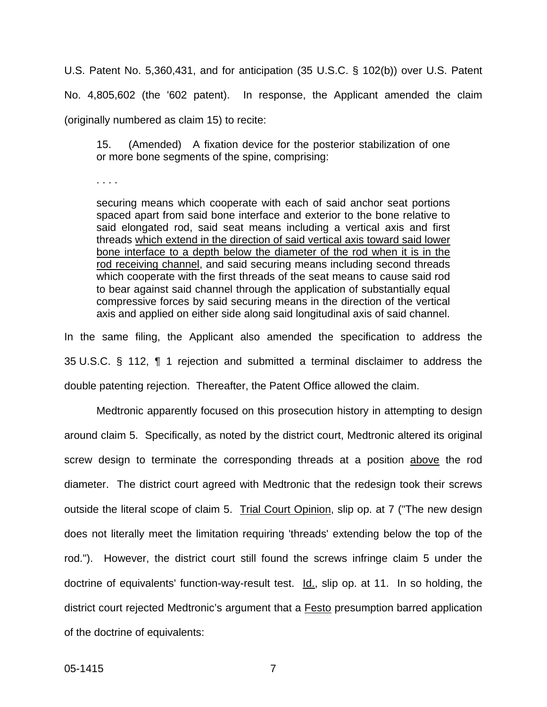U.S. Patent No. 5,360,431, and for anticipation (35 U.S.C. § 102(b)) over U.S. Patent No. 4,805,602 (the '602 patent). In response, the Applicant amended the claim (originally numbered as claim 15) to recite:

15. (Amended) A fixation device for the posterior stabilization of one or more bone segments of the spine, comprising:

. . . .

securing means which cooperate with each of said anchor seat portions spaced apart from said bone interface and exterior to the bone relative to said elongated rod, said seat means including a vertical axis and first threads which extend in the direction of said vertical axis toward said lower bone interface to a depth below the diameter of the rod when it is in the rod receiving channel, and said securing means including second threads which cooperate with the first threads of the seat means to cause said rod to bear against said channel through the application of substantially equal compressive forces by said securing means in the direction of the vertical axis and applied on either side along said longitudinal axis of said channel.

In the same filing, the Applicant also amended the specification to address the 35 U.S.C. § 112, ¶ 1 rejection and submitted a terminal disclaimer to address the double patenting rejection. Thereafter, the Patent Office allowed the claim.

Medtronic apparently focused on this prosecution history in attempting to design around claim 5. Specifically, as noted by the district court, Medtronic altered its original screw design to terminate the corresponding threads at a position above the rod diameter. The district court agreed with Medtronic that the redesign took their screws outside the literal scope of claim 5. Trial Court Opinion, slip op. at 7 ("The new design does not literally meet the limitation requiring 'threads' extending below the top of the rod."). However, the district court still found the screws infringe claim 5 under the doctrine of equivalents' function-way-result test. Id., slip op. at 11. In so holding, the district court rejected Medtronic's argument that a Festo presumption barred application of the doctrine of equivalents: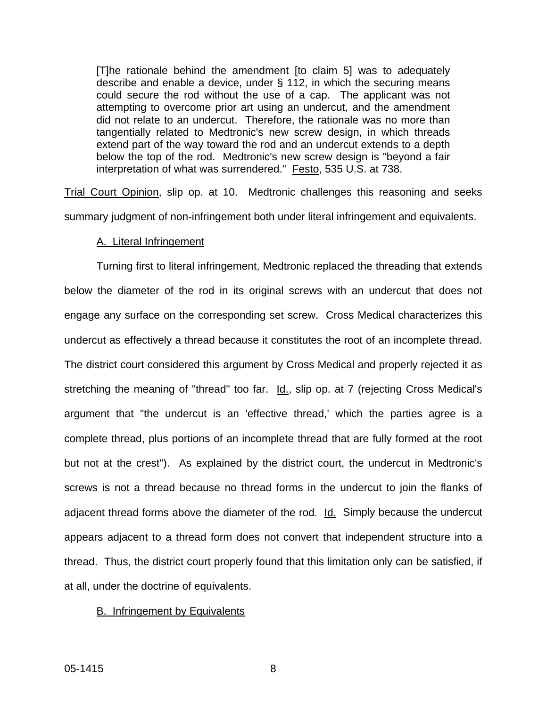[T]he rationale behind the amendment [to claim 5] was to adequately describe and enable a device, under § 112, in which the securing means could secure the rod without the use of a cap. The applicant was not attempting to overcome prior art using an undercut, and the amendment did not relate to an undercut. Therefore, the rationale was no more than tangentially related to Medtronic's new screw design, in which threads extend part of the way toward the rod and an undercut extends to a depth below the top of the rod. Medtronic's new screw design is "beyond a fair interpretation of what was surrendered." Festo, 535 U.S. at 738.

Trial Court Opinion, slip op. at 10. Medtronic challenges this reasoning and seeks summary judgment of non-infringement both under literal infringement and equivalents.

### A. Literal Infringement

Turning first to literal infringement, Medtronic replaced the threading that extends below the diameter of the rod in its original screws with an undercut that does not engage any surface on the corresponding set screw. Cross Medical characterizes this undercut as effectively a thread because it constitutes the root of an incomplete thread. The district court considered this argument by Cross Medical and properly rejected it as stretching the meaning of "thread" too far. Id., slip op. at 7 (rejecting Cross Medical's argument that "the undercut is an 'effective thread,' which the parties agree is a complete thread, plus portions of an incomplete thread that are fully formed at the root but not at the crest"). As explained by the district court, the undercut in Medtronic's screws is not a thread because no thread forms in the undercut to join the flanks of adjacent thread forms above the diameter of the rod. Id. Simply because the undercut appears adjacent to a thread form does not convert that independent structure into a thread. Thus, the district court properly found that this limitation only can be satisfied, if at all, under the doctrine of equivalents.

### B. Infringement by Equivalents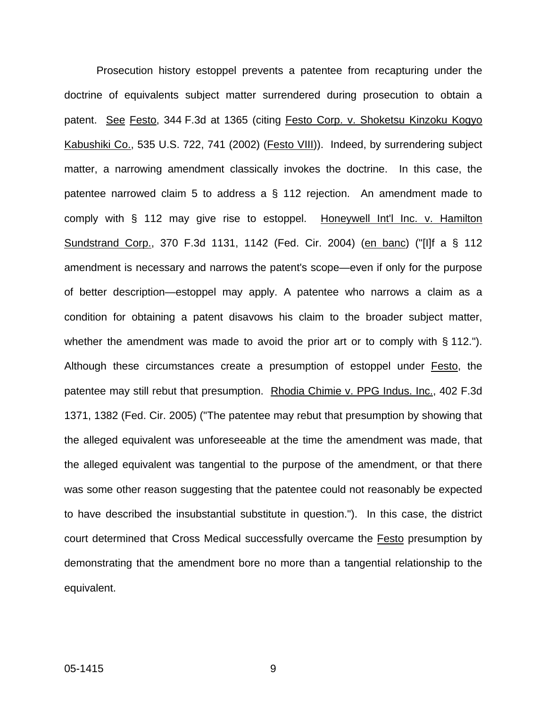Prosecution history estoppel prevents a patentee from recapturing under the doctrine of equivalents subject matter surrendered during prosecution to obtain a patent. See Festo, 344 F.3d at 1365 (citing Festo Corp. v. Shoketsu Kinzoku Kogyo Kabushiki Co., 535 U.S. 722, 741 (2002) (Festo VIII)). Indeed, by surrendering subject matter, a narrowing amendment classically invokes the doctrine. In this case, the patentee narrowed claim 5 to address a § 112 rejection. An amendment made to comply with § 112 may give rise to estoppel. Honeywell Int'l Inc. v. Hamilton Sundstrand Corp., 370 F.3d 1131, 1142 (Fed. Cir. 2004) (en banc) ("[I]f a § 112 amendment is necessary and narrows the patent's scope—even if only for the purpose of better description—estoppel may apply. A patentee who narrows a claim as a condition for obtaining a patent disavows his claim to the broader subject matter, whether the amendment was made to avoid the prior art or to comply with § 112."). Although these circumstances create a presumption of estoppel under Festo, the patentee may still rebut that presumption. Rhodia Chimie v. PPG Indus. Inc., 402 F.3d 1371, 1382 (Fed. Cir. 2005) ("The patentee may rebut that presumption by showing that the alleged equivalent was unforeseeable at the time the amendment was made, that the alleged equivalent was tangential to the purpose of the amendment, or that there was some other reason suggesting that the patentee could not reasonably be expected to have described the insubstantial substitute in question."). In this case, the district court determined that Cross Medical successfully overcame the Festo presumption by demonstrating that the amendment bore no more than a tangential relationship to the equivalent.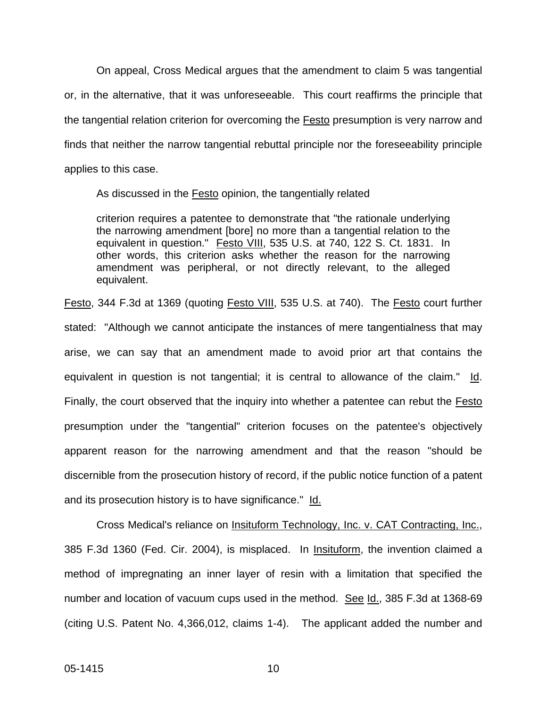On appeal, Cross Medical argues that the amendment to claim 5 was tangential or, in the alternative, that it was unforeseeable. This court reaffirms the principle that the tangential relation criterion for overcoming the Festo presumption is very narrow and finds that neither the narrow tangential rebuttal principle nor the foreseeability principle applies to this case.

As discussed in the **Festo** opinion, the tangentially related

criterion requires a patentee to demonstrate that "the rationale underlying the narrowing amendment [bore] no more than a tangential relation to the equivalent in question." Festo VIII, 535 U.S. at 740, 122 S. Ct. 1831. In other words, this criterion asks whether the reason for the narrowing amendment was peripheral, or not directly relevant, to the alleged equivalent.

Festo, 344 F.3d at 1369 (quoting Festo VIII, 535 U.S. at 740). The Festo court further stated: "Although we cannot anticipate the instances of mere tangentialness that may arise, we can say that an amendment made to avoid prior art that contains the equivalent in question is not tangential; it is central to allowance of the claim." Id. Finally, the court observed that the inquiry into whether a patentee can rebut the Festo presumption under the "tangential" criterion focuses on the patentee's objectively apparent reason for the narrowing amendment and that the reason "should be discernible from the prosecution history of record, if the public notice function of a patent and its prosecution history is to have significance." Id.

Cross Medical's reliance on Insituform Technology, Inc. v. CAT Contracting, Inc., 385 F.3d 1360 (Fed. Cir. 2004), is misplaced. In Insituform, the invention claimed a method of impregnating an inner layer of resin with a limitation that specified the number and location of vacuum cups used in the method. See Id., 385 F.3d at 1368-69 (citing U.S. Patent No. 4,366,012, claims 1-4). The applicant added the number and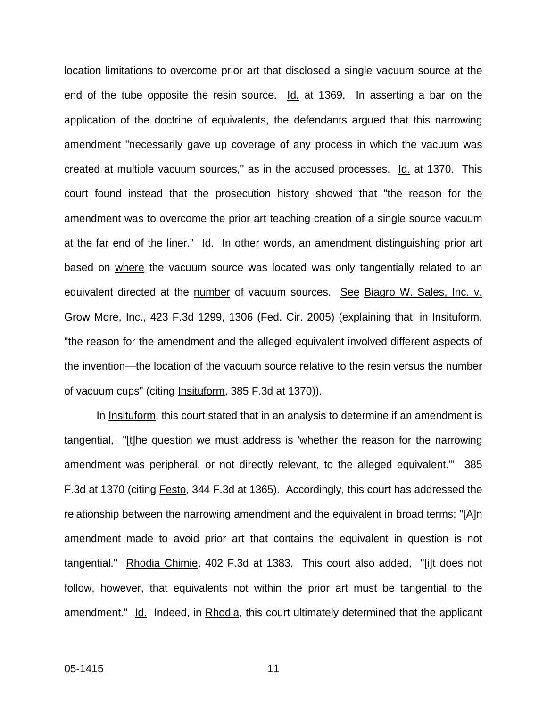location limitations to overcome prior art that disclosed a single vacuum source at the end of the tube opposite the resin source. Id. at 1369. In asserting a bar on the application of the doctrine of equivalents, the defendants argued that this narrowing amendment "necessarily gave up coverage of any process in which the vacuum was created at multiple vacuum sources," as in the accused processes. Id. at 1370. This court found instead that the prosecution history showed that "the reason for the amendment was to overcome the prior art teaching creation of a single source vacuum at the far end of the liner." Id. In other words, an amendment distinguishing prior art based on where the vacuum source was located was only tangentially related to an equivalent directed at the number of vacuum sources. See Biagro W. Sales, Inc. v. Grow More, Inc., 423 F.3d 1299, 1306 (Fed. Cir. 2005) (explaining that, in Insituform, "the reason for the amendment and the alleged equivalent involved different aspects of the invention—the location of the vacuum source relative to the resin versus the number of vacuum cups" (citing Insituform, 385 F.3d at 1370)).

In Insituform, this court stated that in an analysis to determine if an amendment is tangential, "[t]he question we must address is 'whether the reason for the narrowing amendment was peripheral, or not directly relevant, to the alleged equivalent.'" 385 F.3d at 1370 (citing Festo, 344 F.3d at 1365). Accordingly, this court has addressed the relationship between the narrowing amendment and the equivalent in broad terms: "[A]n amendment made to avoid prior art that contains the equivalent in question is not tangential." Rhodia Chimie, 402 F.3d at 1383. This court also added, "[i]t does not follow, however, that equivalents not within the prior art must be tangential to the amendment." Id. Indeed, in Rhodia, this court ultimately determined that the applicant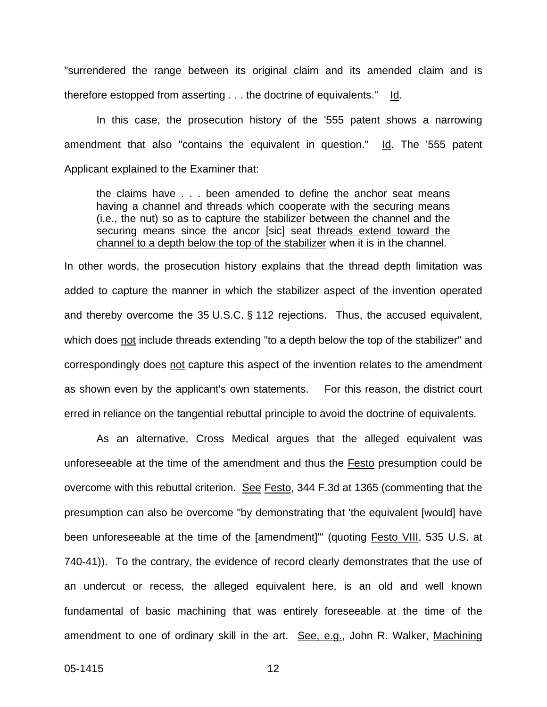"surrendered the range between its original claim and its amended claim and is therefore estopped from asserting . . . the doctrine of equivalents." Id.

In this case, the prosecution history of the '555 patent shows a narrowing amendment that also "contains the equivalent in question." Id. The '555 patent Applicant explained to the Examiner that:

the claims have . . . been amended to define the anchor seat means having a channel and threads which cooperate with the securing means (i.e., the nut) so as to capture the stabilizer between the channel and the securing means since the ancor [sic] seat threads extend toward the channel to a depth below the top of the stabilizer when it is in the channel.

In other words, the prosecution history explains that the thread depth limitation was added to capture the manner in which the stabilizer aspect of the invention operated and thereby overcome the 35 U.S.C. § 112 rejections. Thus, the accused equivalent, which does not include threads extending "to a depth below the top of the stabilizer" and correspondingly does not capture this aspect of the invention relates to the amendment as shown even by the applicant's own statements. For this reason, the district court erred in reliance on the tangential rebuttal principle to avoid the doctrine of equivalents.

As an alternative, Cross Medical argues that the alleged equivalent was unforeseeable at the time of the amendment and thus the Festo presumption could be overcome with this rebuttal criterion. See Festo, 344 F.3d at 1365 (commenting that the presumption can also be overcome "by demonstrating that 'the equivalent [would] have been unforeseeable at the time of the [amendment]" (quoting Festo VIII, 535 U.S. at 740-41)). To the contrary, the evidence of record clearly demonstrates that the use of an undercut or recess, the alleged equivalent here, is an old and well known fundamental of basic machining that was entirely foreseeable at the time of the amendment to one of ordinary skill in the art. See, e.g., John R. Walker, Machining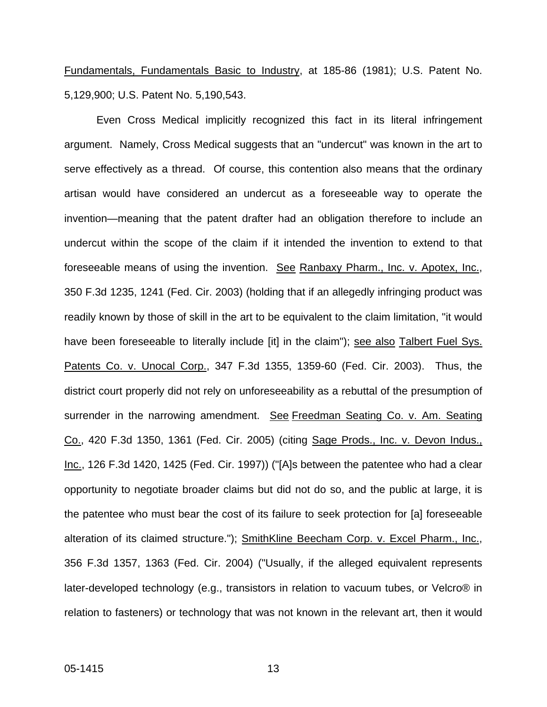Fundamentals, Fundamentals Basic to Industry, at 185-86 (1981); U.S. Patent No. 5,129,900; U.S. Patent No. 5,190,543.

Even Cross Medical implicitly recognized this fact in its literal infringement argument. Namely, Cross Medical suggests that an "undercut" was known in the art to serve effectively as a thread. Of course, this contention also means that the ordinary artisan would have considered an undercut as a foreseeable way to operate the invention—meaning that the patent drafter had an obligation therefore to include an undercut within the scope of the claim if it intended the invention to extend to that foreseeable means of using the invention. See Ranbaxy Pharm., Inc. v. Apotex, Inc., 350 F.3d 1235, 1241 (Fed. Cir. 2003) (holding that if an allegedly infringing product was readily known by those of skill in the art to be equivalent to the claim limitation, "it would have been foreseeable to literally include [it] in the claim"); see also Talbert Fuel Sys. Patents Co. v. Unocal Corp., 347 F.3d 1355, 1359-60 (Fed. Cir. 2003). Thus, the district court properly did not rely on unforeseeability as a rebuttal of the presumption of surrender in the narrowing amendment. See Freedman Seating Co. v. Am. Seating Co., 420 F.3d 1350, 1361 (Fed. Cir. 2005) (citing Sage Prods., Inc. v. Devon Indus., Inc., 126 F.3d 1420, 1425 (Fed. Cir. 1997)) ("[A]s between the patentee who had a clear opportunity to negotiate broader claims but did not do so, and the public at large, it is the patentee who must bear the cost of its failure to seek protection for [a] foreseeable alteration of its claimed structure."); SmithKline Beecham Corp. v. Excel Pharm., Inc., 356 F.3d 1357, 1363 (Fed. Cir. 2004) ("Usually, if the alleged equivalent represents later-developed technology (e.g., transistors in relation to vacuum tubes, or Velcro® in relation to fasteners) or technology that was not known in the relevant art, then it would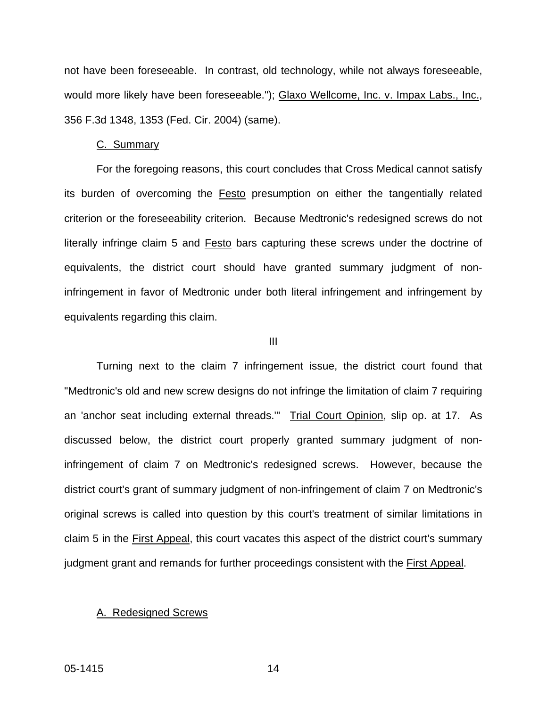not have been foreseeable. In contrast, old technology, while not always foreseeable, would more likely have been foreseeable."); Glaxo Wellcome, Inc. v. Impax Labs., Inc., 356 F.3d 1348, 1353 (Fed. Cir. 2004) (same).

#### C. Summary

For the foregoing reasons, this court concludes that Cross Medical cannot satisfy its burden of overcoming the **Festo** presumption on either the tangentially related criterion or the foreseeability criterion. Because Medtronic's redesigned screws do not literally infringe claim 5 and Festo bars capturing these screws under the doctrine of equivalents, the district court should have granted summary judgment of noninfringement in favor of Medtronic under both literal infringement and infringement by equivalents regarding this claim.

#### III

Turning next to the claim 7 infringement issue, the district court found that "Medtronic's old and new screw designs do not infringe the limitation of claim 7 requiring an 'anchor seat including external threads." Trial Court Opinion, slip op. at 17. As discussed below, the district court properly granted summary judgment of noninfringement of claim 7 on Medtronic's redesigned screws. However, because the district court's grant of summary judgment of non-infringement of claim 7 on Medtronic's original screws is called into question by this court's treatment of similar limitations in claim 5 in the First Appeal, this court vacates this aspect of the district court's summary judgment grant and remands for further proceedings consistent with the First Appeal.

#### A. Redesigned Screws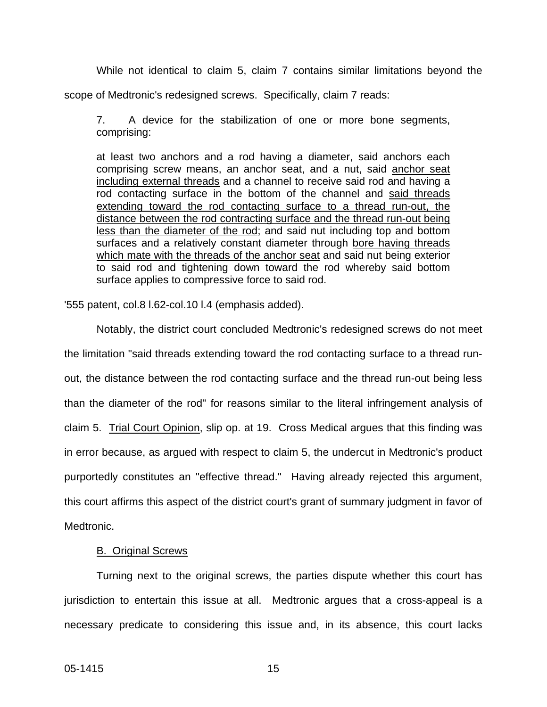While not identical to claim 5, claim 7 contains similar limitations beyond the

scope of Medtronic's redesigned screws. Specifically, claim 7 reads:

7. A device for the stabilization of one or more bone segments, comprising:

at least two anchors and a rod having a diameter, said anchors each comprising screw means, an anchor seat, and a nut, said anchor seat including external threads and a channel to receive said rod and having a rod contacting surface in the bottom of the channel and said threads extending toward the rod contacting surface to a thread run-out, the distance between the rod contracting surface and the thread run-out being less than the diameter of the rod; and said nut including top and bottom surfaces and a relatively constant diameter through bore having threads which mate with the threads of the anchor seat and said nut being exterior to said rod and tightening down toward the rod whereby said bottom surface applies to compressive force to said rod.

'555 patent, col.8 l.62-col.10 l.4 (emphasis added).

Notably, the district court concluded Medtronic's redesigned screws do not meet the limitation "said threads extending toward the rod contacting surface to a thread runout, the distance between the rod contacting surface and the thread run-out being less than the diameter of the rod" for reasons similar to the literal infringement analysis of claim 5. Trial Court Opinion, slip op. at 19. Cross Medical argues that this finding was in error because, as argued with respect to claim 5, the undercut in Medtronic's product purportedly constitutes an "effective thread." Having already rejected this argument, this court affirms this aspect of the district court's grant of summary judgment in favor of Medtronic.

### B. Original Screws

Turning next to the original screws, the parties dispute whether this court has jurisdiction to entertain this issue at all. Medtronic argues that a cross-appeal is a necessary predicate to considering this issue and, in its absence, this court lacks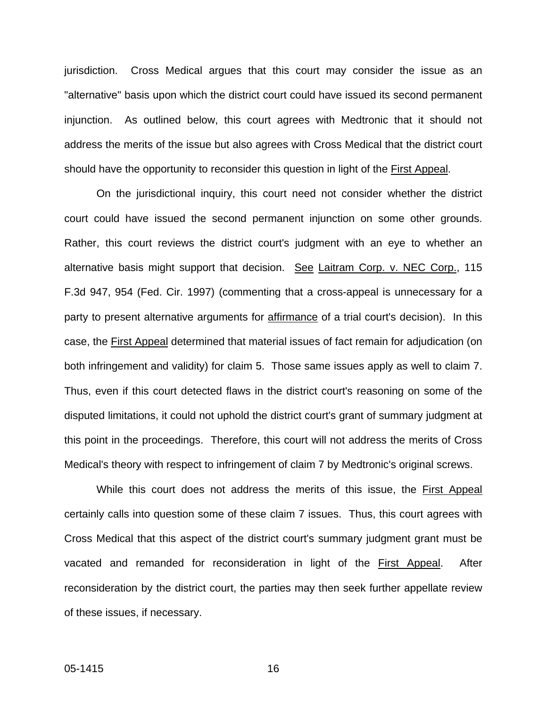jurisdiction. Cross Medical argues that this court may consider the issue as an "alternative" basis upon which the district court could have issued its second permanent injunction. As outlined below, this court agrees with Medtronic that it should not address the merits of the issue but also agrees with Cross Medical that the district court should have the opportunity to reconsider this question in light of the First Appeal.

On the jurisdictional inquiry, this court need not consider whether the district court could have issued the second permanent injunction on some other grounds. Rather, this court reviews the district court's judgment with an eye to whether an alternative basis might support that decision. See Laitram Corp. v. NEC Corp., 115 F.3d 947, 954 (Fed. Cir. 1997) (commenting that a cross-appeal is unnecessary for a party to present alternative arguments for affirmance of a trial court's decision). In this case, the First Appeal determined that material issues of fact remain for adjudication (on both infringement and validity) for claim 5. Those same issues apply as well to claim 7. Thus, even if this court detected flaws in the district court's reasoning on some of the disputed limitations, it could not uphold the district court's grant of summary judgment at this point in the proceedings. Therefore, this court will not address the merits of Cross Medical's theory with respect to infringement of claim 7 by Medtronic's original screws.

While this court does not address the merits of this issue, the First Appeal certainly calls into question some of these claim 7 issues. Thus, this court agrees with Cross Medical that this aspect of the district court's summary judgment grant must be vacated and remanded for reconsideration in light of the First Appeal. After reconsideration by the district court, the parties may then seek further appellate review of these issues, if necessary.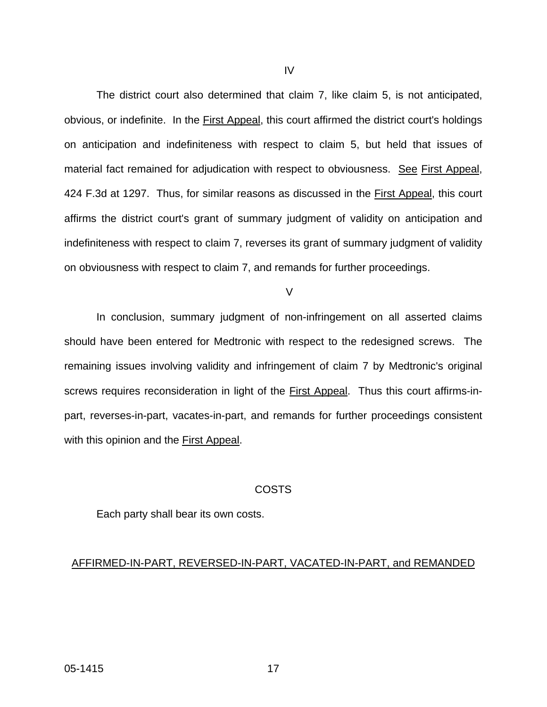The district court also determined that claim 7, like claim 5, is not anticipated, obvious, or indefinite. In the First Appeal, this court affirmed the district court's holdings on anticipation and indefiniteness with respect to claim 5, but held that issues of material fact remained for adjudication with respect to obviousness. See First Appeal, 424 F.3d at 1297. Thus, for similar reasons as discussed in the First Appeal, this court affirms the district court's grant of summary judgment of validity on anticipation and indefiniteness with respect to claim 7, reverses its grant of summary judgment of validity on obviousness with respect to claim 7, and remands for further proceedings.

 $\overline{V}$ 

In conclusion, summary judgment of non-infringement on all asserted claims should have been entered for Medtronic with respect to the redesigned screws. The remaining issues involving validity and infringement of claim 7 by Medtronic's original screws requires reconsideration in light of the First Appeal. Thus this court affirms-inpart, reverses-in-part, vacates-in-part, and remands for further proceedings consistent with this opinion and the First Appeal.

## COSTS

Each party shall bear its own costs.

# AFFIRMED-IN-PART, REVERSED-IN-PART, VACATED-IN-PART, and REMANDED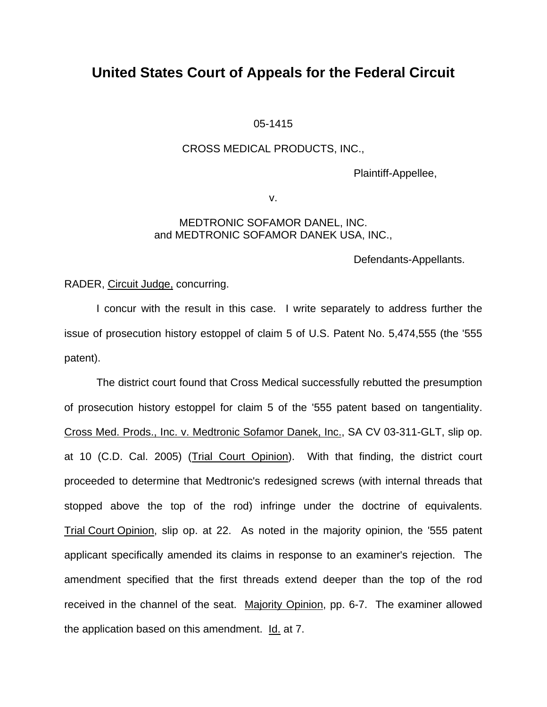# **United States Court of Appeals for the Federal Circuit**

## 05-1415

## CROSS MEDICAL PRODUCTS, INC.,

Plaintiff-Appellee,

v.

## MEDTRONIC SOFAMOR DANEL, INC. and MEDTRONIC SOFAMOR DANEK USA, INC.,

Defendants-Appellants.

RADER, Circuit Judge, concurring.

I concur with the result in this case. I write separately to address further the issue of prosecution history estoppel of claim 5 of U.S. Patent No. 5,474,555 (the '555 patent).

The district court found that Cross Medical successfully rebutted the presumption of prosecution history estoppel for claim 5 of the '555 patent based on tangentiality. Cross Med. Prods., Inc. v. Medtronic Sofamor Danek, Inc., SA CV 03-311-GLT, slip op. at 10 (C.D. Cal. 2005) (Trial Court Opinion). With that finding, the district court proceeded to determine that Medtronic's redesigned screws (with internal threads that stopped above the top of the rod) infringe under the doctrine of equivalents. Trial Court Opinion, slip op. at 22. As noted in the majority opinion, the '555 patent applicant specifically amended its claims in response to an examiner's rejection. The amendment specified that the first threads extend deeper than the top of the rod received in the channel of the seat. Majority Opinion, pp. 6-7. The examiner allowed the application based on this amendment. Id. at 7.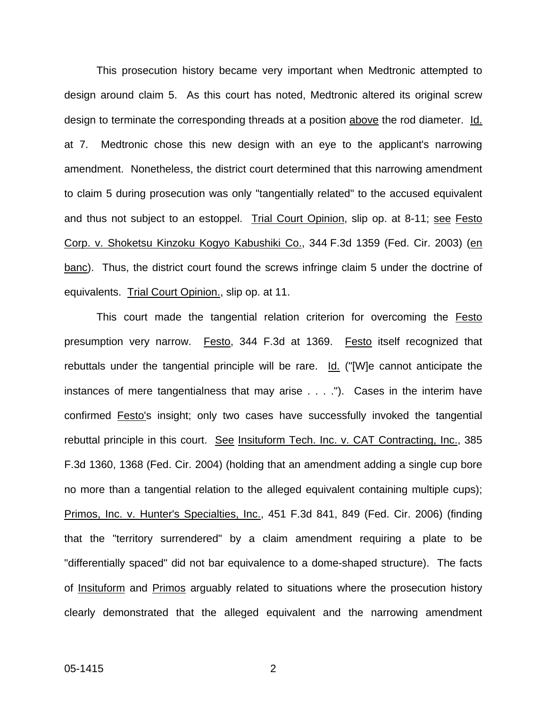This prosecution history became very important when Medtronic attempted to design around claim 5. As this court has noted, Medtronic altered its original screw design to terminate the corresponding threads at a position above the rod diameter. Id. at 7. Medtronic chose this new design with an eye to the applicant's narrowing amendment. Nonetheless, the district court determined that this narrowing amendment to claim 5 during prosecution was only "tangentially related" to the accused equivalent and thus not subject to an estoppel. Trial Court Opinion, slip op. at 8-11; see Festo Corp. v. Shoketsu Kinzoku Kogyo Kabushiki Co., 344 F.3d 1359 (Fed. Cir. 2003) (en banc). Thus, the district court found the screws infringe claim 5 under the doctrine of equivalents. Trial Court Opinion., slip op. at 11.

This court made the tangential relation criterion for overcoming the **Festo** presumption very narrow. Festo, 344 F.3d at 1369. Festo itself recognized that rebuttals under the tangential principle will be rare. Id. ("[W]e cannot anticipate the instances of mere tangentialness that may arise . . . ."). Cases in the interim have confirmed Festo's insight; only two cases have successfully invoked the tangential rebuttal principle in this court. See Insituform Tech. Inc. v. CAT Contracting, Inc., 385 F.3d 1360, 1368 (Fed. Cir. 2004) (holding that an amendment adding a single cup bore no more than a tangential relation to the alleged equivalent containing multiple cups); Primos, Inc. v. Hunter's Specialties, Inc., 451 F.3d 841, 849 (Fed. Cir. 2006) (finding that the "territory surrendered" by a claim amendment requiring a plate to be "differentially spaced" did not bar equivalence to a dome-shaped structure). The facts of Insituform and Primos arguably related to situations where the prosecution history clearly demonstrated that the alleged equivalent and the narrowing amendment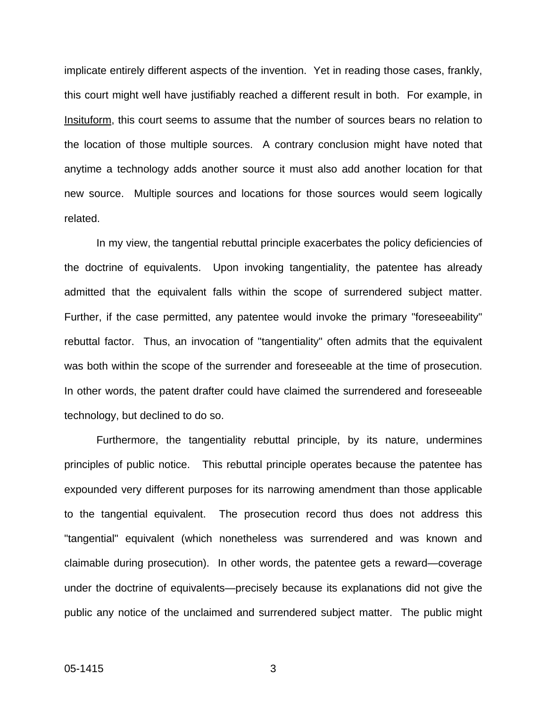implicate entirely different aspects of the invention. Yet in reading those cases, frankly, this court might well have justifiably reached a different result in both. For example, in Insituform, this court seems to assume that the number of sources bears no relation to the location of those multiple sources. A contrary conclusion might have noted that anytime a technology adds another source it must also add another location for that new source. Multiple sources and locations for those sources would seem logically related.

In my view, the tangential rebuttal principle exacerbates the policy deficiencies of the doctrine of equivalents. Upon invoking tangentiality, the patentee has already admitted that the equivalent falls within the scope of surrendered subject matter. Further, if the case permitted, any patentee would invoke the primary "foreseeability" rebuttal factor. Thus, an invocation of "tangentiality" often admits that the equivalent was both within the scope of the surrender and foreseeable at the time of prosecution. In other words, the patent drafter could have claimed the surrendered and foreseeable technology, but declined to do so.

Furthermore, the tangentiality rebuttal principle, by its nature, undermines principles of public notice. This rebuttal principle operates because the patentee has expounded very different purposes for its narrowing amendment than those applicable to the tangential equivalent. The prosecution record thus does not address this "tangential" equivalent (which nonetheless was surrendered and was known and claimable during prosecution). In other words, the patentee gets a reward—coverage under the doctrine of equivalents—precisely because its explanations did not give the public any notice of the unclaimed and surrendered subject matter. The public might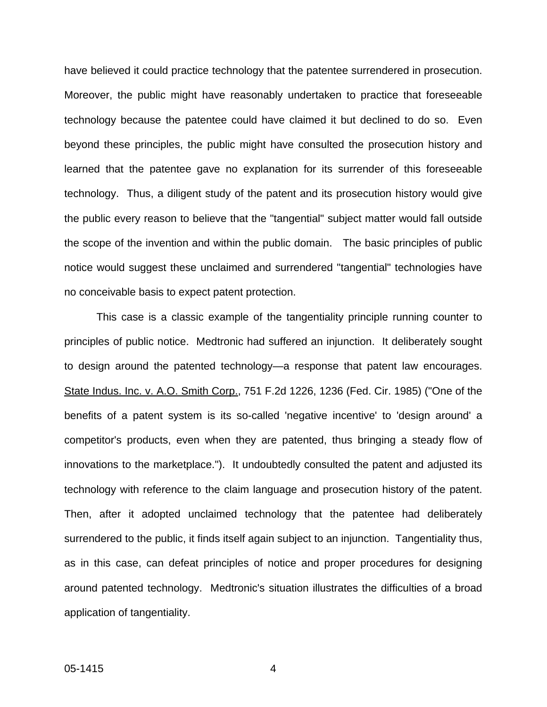have believed it could practice technology that the patentee surrendered in prosecution. Moreover, the public might have reasonably undertaken to practice that foreseeable technology because the patentee could have claimed it but declined to do so. Even beyond these principles, the public might have consulted the prosecution history and learned that the patentee gave no explanation for its surrender of this foreseeable technology. Thus, a diligent study of the patent and its prosecution history would give the public every reason to believe that the "tangential" subject matter would fall outside the scope of the invention and within the public domain. The basic principles of public notice would suggest these unclaimed and surrendered "tangential" technologies have no conceivable basis to expect patent protection.

This case is a classic example of the tangentiality principle running counter to principles of public notice. Medtronic had suffered an injunction. It deliberately sought to design around the patented technology—a response that patent law encourages. State Indus. Inc. v. A.O. Smith Corp., 751 F.2d 1226, 1236 (Fed. Cir. 1985) ("One of the benefits of a patent system is its so-called 'negative incentive' to 'design around' a competitor's products, even when they are patented, thus bringing a steady flow of innovations to the marketplace."). It undoubtedly consulted the patent and adjusted its technology with reference to the claim language and prosecution history of the patent. Then, after it adopted unclaimed technology that the patentee had deliberately surrendered to the public, it finds itself again subject to an injunction. Tangentiality thus, as in this case, can defeat principles of notice and proper procedures for designing around patented technology. Medtronic's situation illustrates the difficulties of a broad application of tangentiality.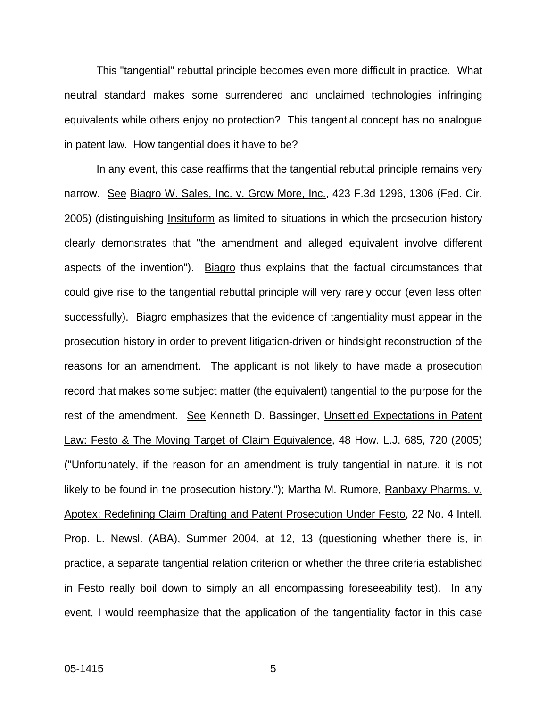This "tangential" rebuttal principle becomes even more difficult in practice. What neutral standard makes some surrendered and unclaimed technologies infringing equivalents while others enjoy no protection? This tangential concept has no analogue in patent law. How tangential does it have to be?

In any event, this case reaffirms that the tangential rebuttal principle remains very narrow. See Biagro W. Sales, Inc. v. Grow More, Inc., 423 F.3d 1296, 1306 (Fed. Cir. 2005) (distinguishing Insituform as limited to situations in which the prosecution history clearly demonstrates that "the amendment and alleged equivalent involve different aspects of the invention"). Biagro thus explains that the factual circumstances that could give rise to the tangential rebuttal principle will very rarely occur (even less often successfully). Biagro emphasizes that the evidence of tangentiality must appear in the prosecution history in order to prevent litigation-driven or hindsight reconstruction of the reasons for an amendment. The applicant is not likely to have made a prosecution record that makes some subject matter (the equivalent) tangential to the purpose for the rest of the amendment. See Kenneth D. Bassinger, Unsettled Expectations in Patent Law: Festo & The Moving Target of Claim Equivalence, 48 How. L.J. 685, 720 (2005) ("Unfortunately, if the reason for an amendment is truly tangential in nature, it is not likely to be found in the prosecution history."); Martha M. Rumore, Ranbaxy Pharms. v. Apotex: Redefining Claim Drafting and Patent Prosecution Under Festo, 22 No. 4 Intell. Prop. L. Newsl. (ABA), Summer 2004, at 12, 13 (questioning whether there is, in practice, a separate tangential relation criterion or whether the three criteria established in Festo really boil down to simply an all encompassing foreseeability test). In any event, I would reemphasize that the application of the tangentiality factor in this case